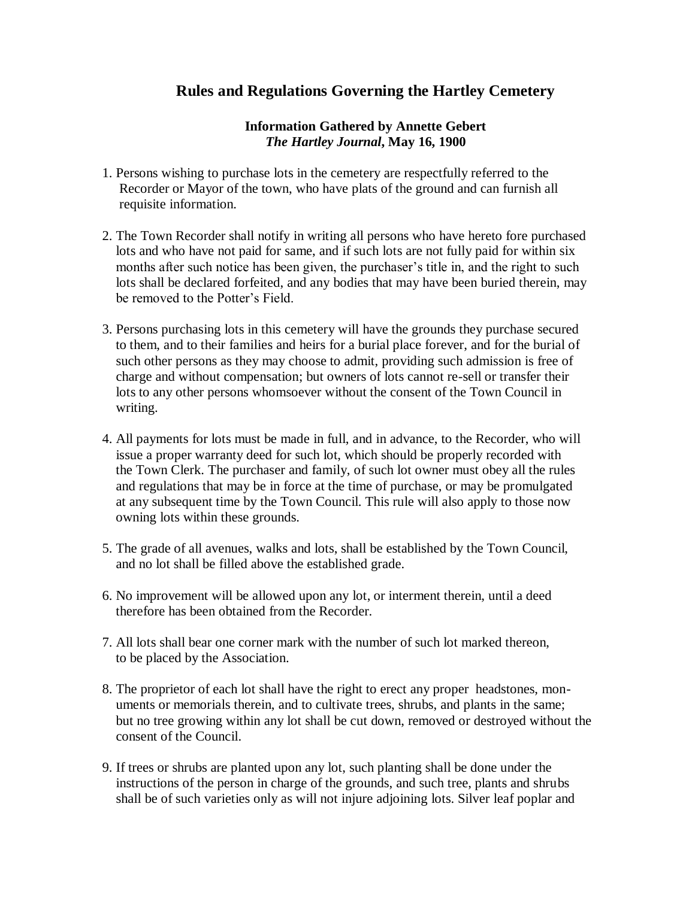## **Rules and Regulations Governing the Hartley Cemetery**

## **Information Gathered by Annette Gebert** *The Hartley Journal***, May 16, 1900**

- 1. Persons wishing to purchase lots in the cemetery are respectfully referred to the Recorder or Mayor of the town, who have plats of the ground and can furnish all requisite information.
- 2. The Town Recorder shall notify in writing all persons who have hereto fore purchased lots and who have not paid for same, and if such lots are not fully paid for within six months after such notice has been given, the purchaser's title in, and the right to such lots shall be declared forfeited, and any bodies that may have been buried therein, may be removed to the Potter's Field.
- 3. Persons purchasing lots in this cemetery will have the grounds they purchase secured to them, and to their families and heirs for a burial place forever, and for the burial of such other persons as they may choose to admit, providing such admission is free of charge and without compensation; but owners of lots cannot re-sell or transfer their lots to any other persons whomsoever without the consent of the Town Council in writing.
- 4. All payments for lots must be made in full, and in advance, to the Recorder, who will issue a proper warranty deed for such lot, which should be properly recorded with the Town Clerk. The purchaser and family, of such lot owner must obey all the rules and regulations that may be in force at the time of purchase, or may be promulgated at any subsequent time by the Town Council. This rule will also apply to those now owning lots within these grounds.
- 5. The grade of all avenues, walks and lots, shall be established by the Town Council, and no lot shall be filled above the established grade.
- 6. No improvement will be allowed upon any lot, or interment therein, until a deed therefore has been obtained from the Recorder.
- 7. All lots shall bear one corner mark with the number of such lot marked thereon, to be placed by the Association.
- 8. The proprietor of each lot shall have the right to erect any proper headstones, mon uments or memorials therein, and to cultivate trees, shrubs, and plants in the same; but no tree growing within any lot shall be cut down, removed or destroyed without the consent of the Council.
- 9. If trees or shrubs are planted upon any lot, such planting shall be done under the instructions of the person in charge of the grounds, and such tree, plants and shrubs shall be of such varieties only as will not injure adjoining lots. Silver leaf poplar and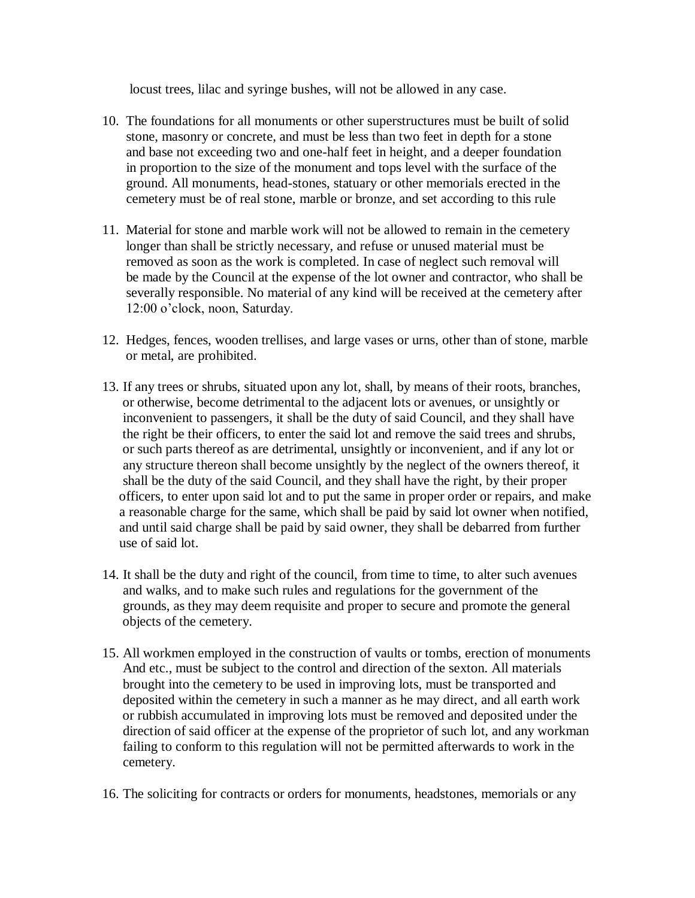locust trees, lilac and syringe bushes, will not be allowed in any case.

- 10. The foundations for all monuments or other superstructures must be built of solid stone, masonry or concrete, and must be less than two feet in depth for a stone and base not exceeding two and one-half feet in height, and a deeper foundation in proportion to the size of the monument and tops level with the surface of the ground. All monuments, head-stones, statuary or other memorials erected in the cemetery must be of real stone, marble or bronze, and set according to this rule
- 11. Material for stone and marble work will not be allowed to remain in the cemetery longer than shall be strictly necessary, and refuse or unused material must be removed as soon as the work is completed. In case of neglect such removal will be made by the Council at the expense of the lot owner and contractor, who shall be severally responsible. No material of any kind will be received at the cemetery after 12:00 o'clock, noon, Saturday.
- 12. Hedges, fences, wooden trellises, and large vases or urns, other than of stone, marble or metal, are prohibited.
- 13. If any trees or shrubs, situated upon any lot, shall, by means of their roots, branches, or otherwise, become detrimental to the adjacent lots or avenues, or unsightly or inconvenient to passengers, it shall be the duty of said Council, and they shall have the right be their officers, to enter the said lot and remove the said trees and shrubs, or such parts thereof as are detrimental, unsightly or inconvenient, and if any lot or any structure thereon shall become unsightly by the neglect of the owners thereof, it shall be the duty of the said Council, and they shall have the right, by their proper officers, to enter upon said lot and to put the same in proper order or repairs, and make a reasonable charge for the same, which shall be paid by said lot owner when notified, and until said charge shall be paid by said owner, they shall be debarred from further use of said lot.
- 14. It shall be the duty and right of the council, from time to time, to alter such avenues and walks, and to make such rules and regulations for the government of the grounds, as they may deem requisite and proper to secure and promote the general objects of the cemetery.
- 15. All workmen employed in the construction of vaults or tombs, erection of monuments And etc., must be subject to the control and direction of the sexton. All materials brought into the cemetery to be used in improving lots, must be transported and deposited within the cemetery in such a manner as he may direct, and all earth work or rubbish accumulated in improving lots must be removed and deposited under the direction of said officer at the expense of the proprietor of such lot, and any workman failing to conform to this regulation will not be permitted afterwards to work in the cemetery.
- 16. The soliciting for contracts or orders for monuments, headstones, memorials or any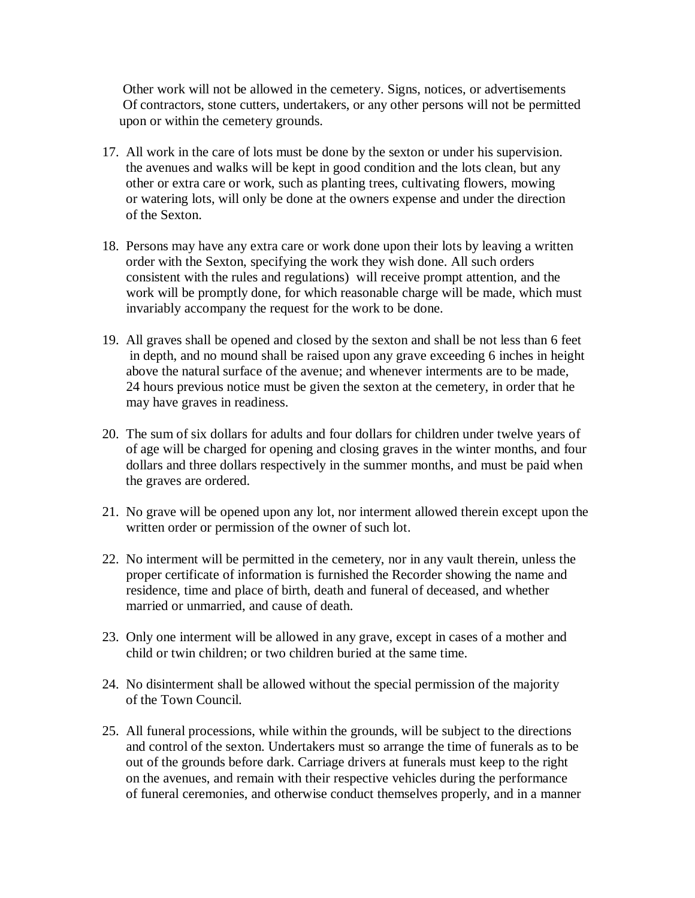Other work will not be allowed in the cemetery. Signs, notices, or advertisements Of contractors, stone cutters, undertakers, or any other persons will not be permitted upon or within the cemetery grounds.

- 17. All work in the care of lots must be done by the sexton or under his supervision. the avenues and walks will be kept in good condition and the lots clean, but any other or extra care or work, such as planting trees, cultivating flowers, mowing or watering lots, will only be done at the owners expense and under the direction of the Sexton.
- 18. Persons may have any extra care or work done upon their lots by leaving a written order with the Sexton, specifying the work they wish done. All such orders consistent with the rules and regulations) will receive prompt attention, and the work will be promptly done, for which reasonable charge will be made, which must invariably accompany the request for the work to be done.
- 19. All graves shall be opened and closed by the sexton and shall be not less than 6 feet in depth, and no mound shall be raised upon any grave exceeding 6 inches in height above the natural surface of the avenue; and whenever interments are to be made, 24 hours previous notice must be given the sexton at the cemetery, in order that he may have graves in readiness.
- 20. The sum of six dollars for adults and four dollars for children under twelve years of of age will be charged for opening and closing graves in the winter months, and four dollars and three dollars respectively in the summer months, and must be paid when the graves are ordered.
- 21. No grave will be opened upon any lot, nor interment allowed therein except upon the written order or permission of the owner of such lot.
- 22. No interment will be permitted in the cemetery, nor in any vault therein, unless the proper certificate of information is furnished the Recorder showing the name and residence, time and place of birth, death and funeral of deceased, and whether married or unmarried, and cause of death.
- 23. Only one interment will be allowed in any grave, except in cases of a mother and child or twin children; or two children buried at the same time.
- 24. No disinterment shall be allowed without the special permission of the majority of the Town Council.
- 25. All funeral processions, while within the grounds, will be subject to the directions and control of the sexton. Undertakers must so arrange the time of funerals as to be out of the grounds before dark. Carriage drivers at funerals must keep to the right on the avenues, and remain with their respective vehicles during the performance of funeral ceremonies, and otherwise conduct themselves properly, and in a manner